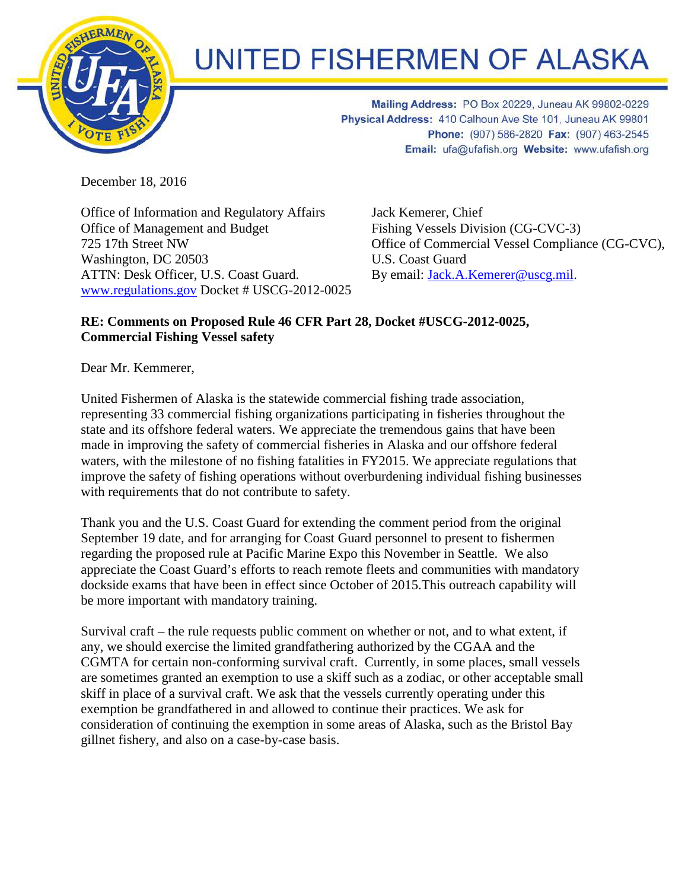

## UNITED FISHERMEN OF ALASKA

Mailing Address: PO Box 20229, Juneau AK 99802-0229 Physical Address: 410 Calhoun Ave Ste 101, Juneau AK 99801 Phone: (907) 586-2820 Fax: (907) 463-2545 Email: ufa@ufafish.org Website: www.ufafish.org

December 18, 2016

Office of Information and Regulatory Affairs Office of Management and Budget 725 17th Street NW Washington, DC 20503 ATTN: Desk Officer, U.S. Coast Guard. [www.regulations.gov](http://www.regulations.gov/) Docket # USCG-2012-0025 Jack Kemerer, Chief Fishing Vessels Division (CG-CVC-3) Office of Commercial Vessel Compliance (CG-CVC), U.S. Coast Guard By email: [Jack.A.Kemerer@uscg.mil.](mailto:Jack.A.Kemerer@uscg.mil)

## **RE: Comments on Proposed Rule 46 CFR Part 28, Docket #USCG-2012-0025, Commercial Fishing Vessel safety**

Dear Mr. Kemmerer,

United Fishermen of Alaska is the statewide commercial fishing trade association, representing 33 commercial fishing organizations participating in fisheries throughout the state and its offshore federal waters. We appreciate the tremendous gains that have been made in improving the safety of commercial fisheries in Alaska and our offshore federal waters, with the milestone of no fishing fatalities in FY2015. We appreciate regulations that improve the safety of fishing operations without overburdening individual fishing businesses with requirements that do not contribute to safety.

Thank you and the U.S. Coast Guard for extending the comment period from the original September 19 date, and for arranging for Coast Guard personnel to present to fishermen regarding the proposed rule at Pacific Marine Expo this November in Seattle. We also appreciate the Coast Guard's efforts to reach remote fleets and communities with mandatory dockside exams that have been in effect since October of 2015.This outreach capability will be more important with mandatory training.

Survival craft – the rule requests public comment on whether or not, and to what extent, if any, we should exercise the limited grandfathering authorized by the CGAA and the CGMTA for certain non-conforming survival craft. Currently, in some places, small vessels are sometimes granted an exemption to use a skiff such as a zodiac, or other acceptable small skiff in place of a survival craft. We ask that the vessels currently operating under this exemption be grandfathered in and allowed to continue their practices. We ask for consideration of continuing the exemption in some areas of Alaska, such as the Bristol Bay gillnet fishery, and also on a case-by-case basis.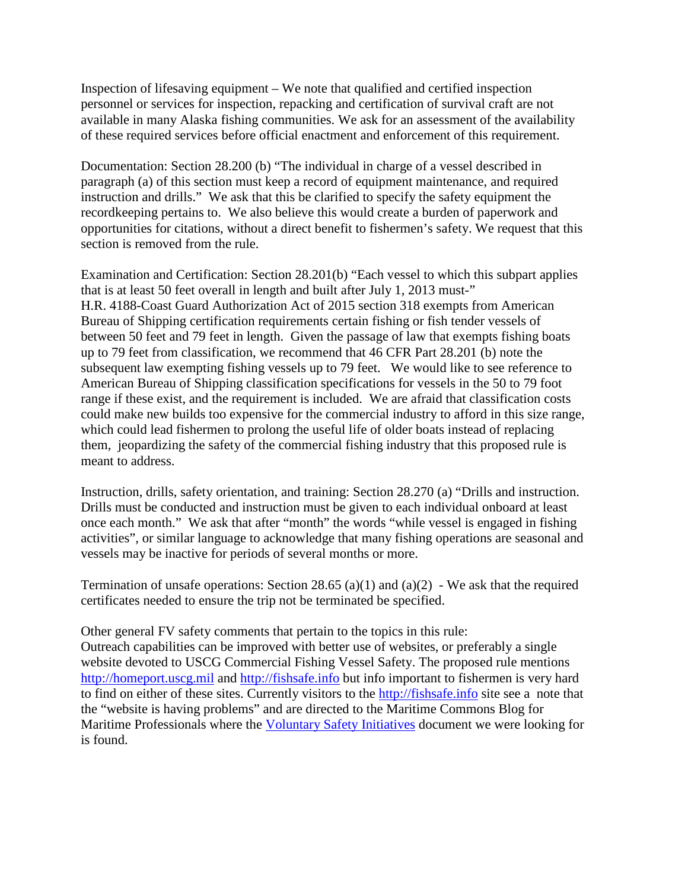Inspection of lifesaving equipment – We note that qualified and certified inspection personnel or services for inspection, repacking and certification of survival craft are not available in many Alaska fishing communities. We ask for an assessment of the availability of these required services before official enactment and enforcement of this requirement.

Documentation: Section 28.200 (b) "The individual in charge of a vessel described in paragraph (a) of this section must keep a record of equipment maintenance, and required instruction and drills." We ask that this be clarified to specify the safety equipment the recordkeeping pertains to. We also believe this would create a burden of paperwork and opportunities for citations, without a direct benefit to fishermen's safety. We request that this section is removed from the rule.

Examination and Certification: Section 28.201(b) "Each vessel to which this subpart applies that is at least 50 feet overall in length and built after July 1, 2013 must-" H.R. 4188-Coast Guard Authorization Act of 2015 section 318 exempts from American Bureau of Shipping certification requirements certain fishing or fish tender vessels of between 50 feet and 79 feet in length. Given the passage of law that exempts fishing boats up to 79 feet from classification, we recommend that 46 CFR Part 28.201 (b) note the subsequent law exempting fishing vessels up to 79 feet. We would like to see reference to American Bureau of Shipping classification specifications for vessels in the 50 to 79 foot range if these exist, and the requirement is included. We are afraid that classification costs could make new builds too expensive for the commercial industry to afford in this size range, which could lead fishermen to prolong the useful life of older boats instead of replacing them, jeopardizing the safety of the commercial fishing industry that this proposed rule is meant to address.

Instruction, drills, safety orientation, and training: Section 28.270 (a) "Drills and instruction. Drills must be conducted and instruction must be given to each individual onboard at least once each month." We ask that after "month" the words "while vessel is engaged in fishing activities", or similar language to acknowledge that many fishing operations are seasonal and vessels may be inactive for periods of several months or more.

Termination of unsafe operations: Section 28.65 (a)(1) and (a)(2) - We ask that the required certificates needed to ensure the trip not be terminated be specified.

Other general FV safety comments that pertain to the topics in this rule:

Outreach capabilities can be improved with better use of websites, or preferably a single website devoted to USCG Commercial Fishing Vessel Safety. The proposed rule mentions [http://homeport.uscg.mil](http://homeport.uscg.mil/) and [http://fishsafe.info](http://fishsafe.info/) but info important to fishermen is very hard to find on either of these sites. Currently visitors to the [http://fishsafe.info](http://fishsafe.info/) site see a note that the "website is having problems" and are directed to the Maritime Commons Blog for Maritime Professionals where the [Voluntary Safety Initiatives](http://mariners.coastguard.dodlive.mil/2016/11/04/voluntary-safety-initiatives-good-marine-practices-for-commercial-fishing-vessels/) document we were looking for is found.